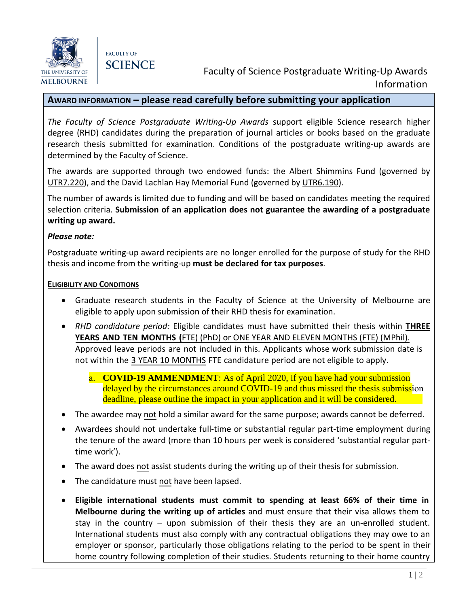



# Faculty of Science Postgraduate Writing-Up Awards Information

## **AWARD INFORMATION – please read carefully before submitting your application**

*The Faculty of Science Postgraduate Writing-Up Awards* support eligible Science research higher degree (RHD) candidates during the preparation of journal articles or books based on the graduate research thesis submitted for examination. Conditions of the postgraduate writing-up awards are determined by the Faculty of Science.

The awards are supported through two endowed funds: the Albert Shimmins Fund (governed by UTR7.220), and the David Lachlan Hay Memorial Fund (governed by UTR6.190).

The number of awards is limited due to funding and will be based on candidates meeting the required selection criteria. **Submission of an application does not guarantee the awarding of a postgraduate writing up award.** 

## *Please note:*

Postgraduate writing-up award recipients are no longer enrolled for the purpose of study for the RHD thesis and income from the writing-up **must be declared for tax purposes**.

#### **ELIGIBILITY AND CONDITIONS**

- Graduate research students in the Faculty of Science at the University of Melbourne are eligible to apply upon submission of their RHD thesis for examination.
- *RHD candidature period:* Eligible candidates must have submitted their thesis within **THREE YEARS AND TEN MONTHS (**FTE) (PhD) or ONE YEAR AND ELEVEN MONTHS (FTE) (MPhil). Approved leave periods are not included in this. Applicants whose work submission date is not within the 3 YEAR 10 MONTHS FTE candidature period are not eligible to apply.

a. **COVID-19 AMMENDMENT**: As of April 2020, if you have had your submission delayed by the circumstances around COVID-19 and thus missed the thesis submission deadline, please outline the impact in your application and it will be considered.

- The awardee may not hold a similar award for the same purpose; awards cannot be deferred.
- Awardees should not undertake full-time or substantial regular part-time employment during the tenure of the award (more than 10 hours per week is considered 'substantial regular parttime work').
- The award does not assist students during the writing up of their thesis for submission*.*
- The candidature must not have been lapsed.
- **Eligible international students must commit to spending at least 66% of their time in Melbourne during the writing up of articles** and must ensure that their visa allows them to stay in the country – upon submission of their thesis they are an un-enrolled student. International students must also comply with any contractual obligations they may owe to an employer or sponsor, particularly those obligations relating to the period to be spent in their home country following completion of their studies. Students returning to their home country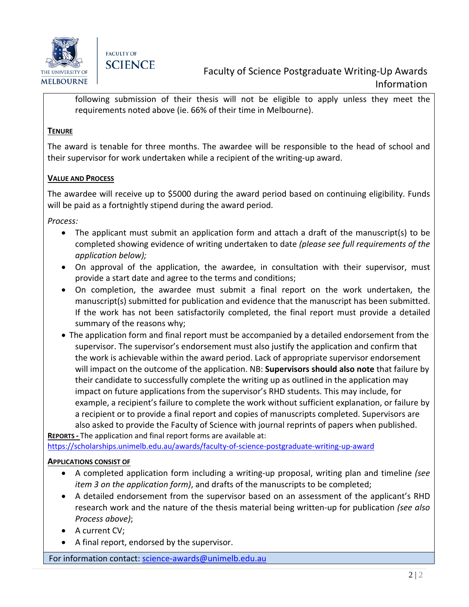

**FACULTY OF SCIENCE** 

following submission of their thesis will not be eligible to apply unless they meet the requirements noted above (ie. 66% of their time in Melbourne).

## **TENURE**

The award is tenable for three months. The awardee will be responsible to the head of school and their supervisor for work undertaken while a recipient of the writing-up award.

## **VALUE AND PROCESS**

The awardee will receive up to \$5000 during the award period based on continuing eligibility. Funds will be paid as a fortnightly stipend during the award period.

*Process:*

- The applicant must submit an application form and attach a draft of the manuscript(s) to be completed showing evidence of writing undertaken to date *(please see full requirements of the application below);*
- On approval of the application, the awardee, in consultation with their supervisor, must provide a start date and agree to the terms and conditions;
- On completion, the awardee must submit a final report on the work undertaken, the manuscript(s) submitted for publication and evidence that the manuscript has been submitted. If the work has not been satisfactorily completed, the final report must provide a detailed summary of the reasons why;
- The application form and final report must be accompanied by a detailed endorsement from the supervisor. The supervisor's endorsement must also justify the application and confirm that the work is achievable within the award period. Lack of appropriate supervisor endorsement will impact on the outcome of the application. NB: **Supervisors should also note** that failure by their candidate to successfully complete the writing up as outlined in the application may impact on future applications from the supervisor's RHD students. This may include, for example, a recipient's failure to complete the work without sufficient explanation, or failure by a recipient or to provide a final report and copies of manuscripts completed. Supervisors are also asked to provide the Faculty of Science with journal reprints of papers when published. **REPORTS -** The application and final report forms are available at:

<https://scholarships.unimelb.edu.au/awards/faculty-of-science-postgraduate-writing-up-award>

#### **APPLICATIONS CONSIST OF**

- A completed application form including a writing-up proposal, writing plan and timeline *(see item 3 on the application form)*, and drafts of the manuscripts to be completed;
- A detailed endorsement from the supervisor based on an assessment of the applicant's RHD research work and the nature of the thesis material being written-up for publication *(see also Process above)*;
- A current CV;
- A final report, endorsed by the supervisor.

For information contact: [science-awards@unimelb.edu.au](mailto:science-awards@unimelb.edu.au)